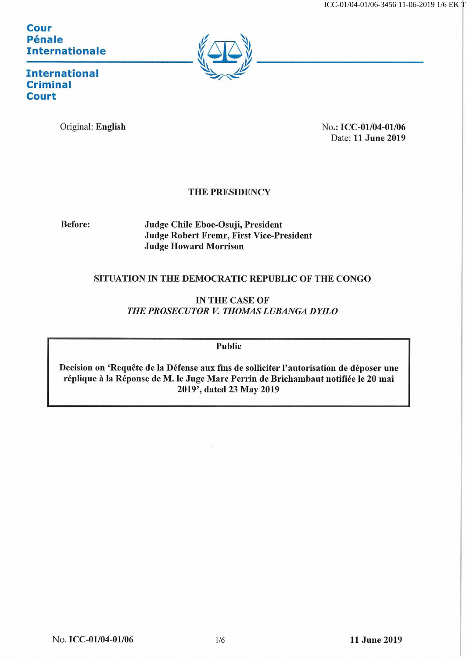**Cour Female Internationale**



**International Criminal Court**

Original: **English** No.: **ICC-01/04-01/06** Date: **11 June 2019**

### **THE PRESIDENCY**

**Before: Judge Chile Eboe-Osuji, President Judge Robert Fremr, First Vice-President Judge Howard Morrison**

## **SITUATION IN THE DEMOCRATIC REPUBLIC OF THE CONGO**

**IN THE CASE OF THE PROSECUTOR V. THOMAS LUBANGA DYILO** 

**Public**

**Decision on 'Requete de la Defense aux fins de solliciter l'autorisation de deposer une replique a la Reponse de M. le Juge Marc Perrin de Brichambaut notifiee le 20 mai 2019', dated 23 May 2019**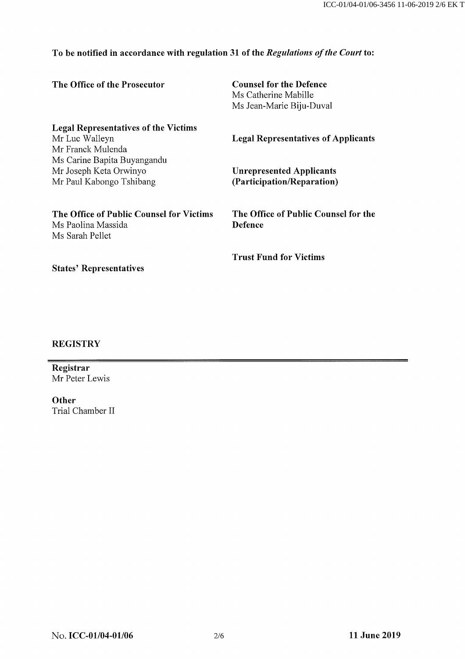# **To be notified in accordance with regulation 31 of the** *Regulations of the Court* **to:**

| The Office of the Prosecutor                | <b>Counsel for the Defence</b><br>Ms Catherine Mabille |
|---------------------------------------------|--------------------------------------------------------|
|                                             | Ms Jean-Marie Biju-Duval                               |
| <b>Legal Representatives of the Victims</b> |                                                        |
| Mr Luc Walleyn                              | <b>Legal Representatives of Applicants</b>             |
| Mr Franck Mulenda                           |                                                        |
| Ms Carine Bapita Buyangandu                 |                                                        |
| Mr Joseph Keta Orwinyo                      | <b>Unrepresented Applicants</b>                        |
| Mr Paul Kabongo Tshibang                    | (Participation/Reparation)                             |
| The Office of Public Counsel for Victims    | The Office of Public Counsel for the                   |
| Ms Paolina Massida                          | Defence                                                |
| Ms Sarah Pellet                             |                                                        |
|                                             | <b>Trust Fund for Victims</b>                          |
| <b>States' Representatives</b>              |                                                        |

#### **REGISTRY**

**Registrar** Mr Peter Lewis

**Other** Trial Chamber II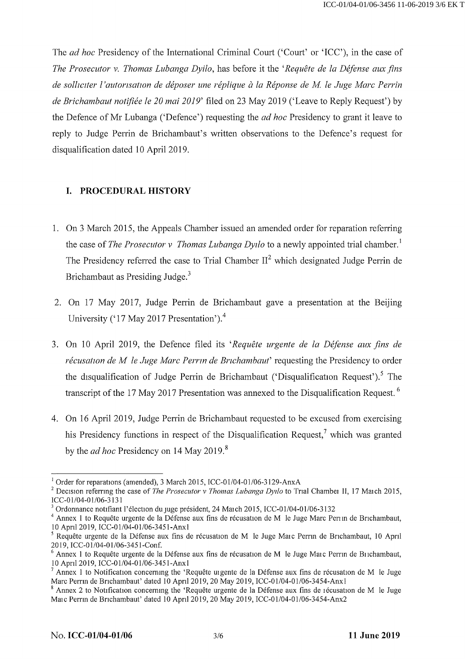The *ad hoc* Presidency of the International Criminal Court ('Court' or 'ICC'), in the case of *The Prosecutor* v. *Thomas Lubanga Dyilo,* has before it the '*Requete de la Defense anx fins de solliciter I 'antonsation de deposer une replique a la Reponse de M. le Jnge Marc Perrin de Brichambaut notifiee le 20 mai 2019*' filed on 23 May 2019 ('Leave to Reply Request') by the Defence of Mr Lubanga ('Defence') requesting the *ad hoc* Presidency to grant it leave to reply to Judge Perrin de Brichambaut's written observations to the Defence's request for disqualification dated 10 April 2019.

## **I. PROCEDURAL HISTORY**

- 1. On 3 March 2015, the Appeals Chamber issued an amended order for reparation referring the case of *The Prosecutor v Thomas Lubanga Dyilo* to a newly appointed trial chamber.<sup>1</sup> The Presidency referred the case to Trial Chamber  $II<sup>2</sup>$  which designated Judge Perrin de Brichambaut as Presiding Judge.<sup>3</sup>
- 2. On 17 May 2017, Judge Perrin de Brichambaut gave a presentation at the Beijing University ('17 May 2017 Presentation').4
- 3. On 10 April 2019, the Defence filed its '*Requete urgente de la Defense aux fins de récusation de M le Juge Marc Perrin de Brichambaut*' requesting the Presidency to order the disqualification of Judge Perrin de Brichambaut ('Disqualification Request').<sup>5</sup> The transcript of the 17 May 2017 Presentation was annexed to the Disqualification Request.<sup>6</sup>
- 4. On 16 April 2019, Judge Perrin de Brichambaut requested to be excused from exercising his Presidency functions in respect of the Disqualification Request,<sup>7</sup> which was granted by the *ad hoc* Presidency on 14 May 2019.<sup>8</sup>

<sup>&</sup>lt;sup>1</sup> Order for reparations (amended), 3 March 2015, ICC-01/04-01/06-3129-AnxA

<sup>2</sup> Decision refemng the case of *The Prosecutor* v *Thomas Lubanga Dyilo* to Trial Chambei II, 17 Maich 2015, ICC-01/04-01/06-3131

<sup>&</sup>lt;sup>3</sup> Ordonnance notifiant l'élection du juge président, 24 Maich 2015, ICC-01/04-01/06-3132

<sup>&</sup>lt;sup>4</sup> Annex 1 to Requête urgente de la Défense aux fins de récusation de M le Juge Marc Perim de Brichambaut, 10 April 2019, ICC-01/04-01/06-3451 -Anxl

<sup>&</sup>lt;sup>5</sup> Requête urgente de la Défense aux fins de récusation de M le Juge Maic Perrin de Brichambaut, 10 April 2019, ICC-01/04-01/06-3451-Conf.

 $6$  Annex 1 to Requête urgente de la Défense aux fins de récusation de M le Juge Maic Perrin de Biichambaut, 10 April 2019, ICC-01 /04-01/06-3451 -Anx 1

 $^7$  Annex 1 to Notification concerning the 'Requête uigente de la Défense aux fins de récusation de M le Juge Marc Perrin de Brichambaut' dated 10 April 2019, 20 May 2019, ICC-01/04-01/06-3454-Anx1

<sup>&</sup>lt;sup>8</sup> Annex 2 to Notification concerning the 'Requête urgente de la Défense aux fins de 1écusation de M le Juge Maic Perrin de Brichambaut' dated 10 April 2019, 20 May 2019, ICC-01/04-0l/06-3454-Anx2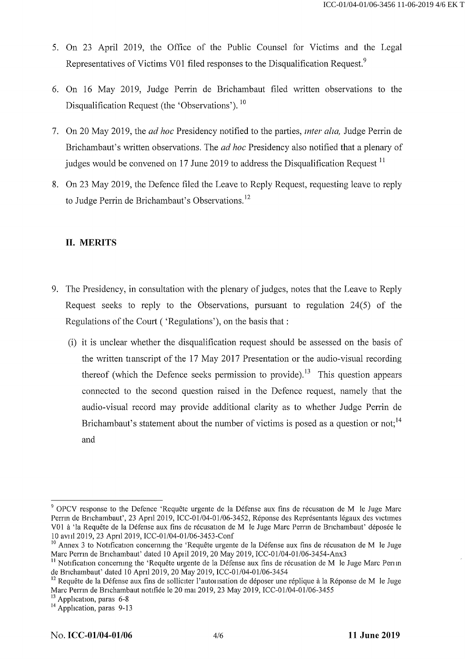- 5. On 23 April 2019, the Office of the Public Counsel for Victims and the Legal Representatives of Victims V01 filed responses to the Disqualification Request.<sup>9</sup>
- 6. On 16 May 2019, Judge Perrin de Brichambaut filed written observations to the Disqualification Request (the 'Observations').<sup>10</sup>
- 7. On 20 May 2019, the *ad hoc* Presidency notified to the parties, *inter aha,* Judge Perrin de Brichambaut's written observations. The *ad hoc* Presidency also notified that a plenary of judges would be convened on 17 June 2019 to address the Disqualification Request  $^{11}$
- 8. On 23 May 2019, the Defence filed the Leave to Reply Request, requesting leave to reply to Judge Perrin de Brichambaut's Observations.<sup>12</sup>

#### **II. MERITS**

- 9. The Presidency, in consultation with the plenary of judges, notes that the Leave to Reply Request seeks to reply to the Observations, pursuant to regulation 24(5) of the Regulations of the Court ( 'Regulations'), on the basis that:
	- (i) it is unclear whether the disqualification request should be assessed on the basis of the written tianscript of the 17 May 2017 Presentation or the audio-visual recording thereof (which the Defence seeks permission to provide).<sup>13</sup> This question appears connected to the second question raised in the Defence request, namely that the audio-visual record may provide additional clarity as to whether Judge Perrin de Brichambaut's statement about the number of victims is posed as a question or not;<sup>14</sup> and

<sup>&</sup>lt;sup>9</sup> OPCV response to the Defence 'Requête urgente de la Défense aux fins de récusation de M le Juge Marc Perrin de Brichambaut', 23 April 2019, ICC-01/04-01/06-3452, Réponse des Représentants légaux des victimes V01 à 'la Requête de la Défense aux fins de récusation de M le Juge Marc Perrin de Brichambaut' déposée le 10 avul 2019, 23 April 2019, ICC-01/04-01/06-3453-Conf

<sup>&</sup>lt;sup>10</sup> Annex 3 to Notification concerning the 'Requête urgente de la Défense aux fins de récusation de M le Juge Marc Perrin de Brichambaut' dated 10 Apiil 2019, 20 May 2019, ICC-01/04-01/06-3454-Anx3

<sup>&</sup>lt;sup>11</sup> Notification concerning the 'Requête urgente de la Défense aux fins de récusation de M le Juge Marc Perin de Brichambaut' dated 10 April 2019, 20 May 2019, ICC-01/04-01/06-3454

<sup>&</sup>lt;sup>2</sup> Requête de la Défense aux fins de solliciter l'autonsation de déposer une réplique à la Réponse de M le Juge Marc Perrm de Brichambaut notifiee le 20 mai 2019, 23 May 2019, ICC-01/04-01/06-3455

<sup>&</sup>lt;sup>13</sup> Application, paras 6-8

<sup>&</sup>lt;sup>14</sup> Application, paras 9-13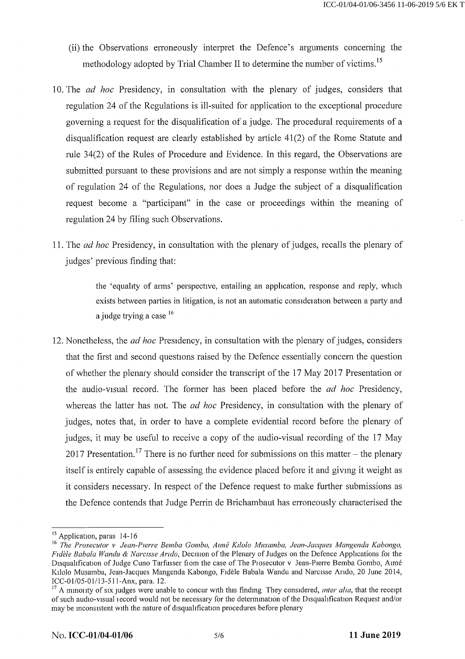- (ii) the Observations erroneously interpret the Defence's arguments concerning the methodology adopted by Trial Chamber II to determine the number of victims.<sup>15</sup>
- 10. The *ad hoc* Presidency, in consultation with the plenary of judges, considers that regulation 24 of the Regulations is ill-suited for application to the exceptional procedure governing a request for the disqualification of a judge. The procedural requirements of a disqualification request are clearly established by article 41(2) of the Rome Statute and rule 34(2) of the Rules of Procedure and Evidence. In this regard, the Observations are submitted pursuant to these provisions and are not simply a response within the meaning of regulation 24 of the Regulations, nor does a Judge the subject of a disqualification request become a "participant" in the case or proceedings within the meaning of regulation 24 by filing such Observations.
- 11. The *ad hoc* Presidency, in consultation with the plenary of judges, recalls the plenary of judges' previous finding that:

the 'equality of arms' perspective, entailing an application, response and reply, which exists between parties in litigation, is not an automatic consideiation between a party and a judge trying a case <sup>16</sup>

12. Nonetheless, the *ad hoc* Presidency, in consultation with the plenary of judges, considers that the first and second questions raised by the Defence essentially concern the question of whether the plenary should consider the transcript of the 17 May 2017 Presentation or the audio-visual record. The former has been placed before the *ad hoc* Presidency, whereas the latter has not. The *ad hoc* Presidency, in consultation with the plenary of judges, notes that, in order to have a complete evidential record before the plenary of judges, it may be useful to receive a copy of the audio-visual recording of the 17 May 2017 Presentation.<sup>17</sup> There is no further need for submissions on this matter – the plenary itself is entirely capable of assessing the evidence placed before it and giving it weight as it considers necessary. In respect of the Defence request to make further submissions as the Defence contends that Judge Perrin de Brichambaut has erroneously characterised the

<sup>&</sup>lt;sup>15</sup> Application, paras 14-16

<sup>16</sup> *The Prosecutor* **v** *Jean-Pierre Bemba Gombo, Anne Kilolo Musamba, Jean-Jacques Mangenda Kabongo, Fidele Babala Wandu & Narcisse Ando,* Decision of the Plenary of Judges on the Defence Applications foi the Disqualification of Judge Cuno Tarfusser fiom the case of The Piosecutor v Jean-Pierre Bemba Gombo, Aimé Kilolo Musamba, Jean-Jacques Mangenda Kabongo, Fidele Babala Wandu and Narcisse Ando, 20 June 2014, ICC-01/05-01/13-511-Anx, para. 12.

<sup>&</sup>lt;sup>17</sup> A minoiity of six judges were unable to concur with this finding They considered, *inter alia*, that the receipt of such audio-visual lecord would not be necessary for the determination of the Disqualification Request and/or may be inconsistent with the nature of disqualification procedures before plenary